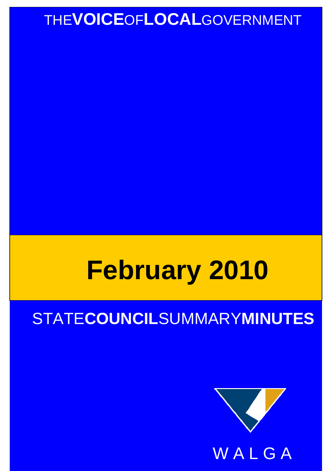## THE**VOICE**OF**LOCAL**GOVERNMENT

# **February 2010**

## STATE**COUNCIL**SUMMARY**MINUTES**

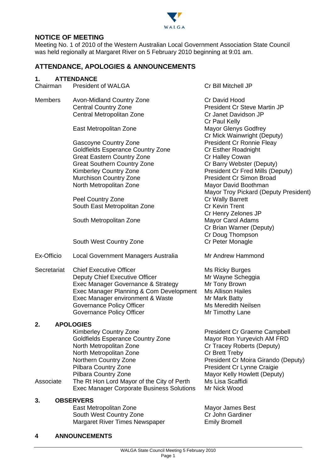

#### **NOTICE OF MEETING**

Meeting No. 1 of 2010 of the Western Australian Local Government Association State Council was held regionally at Margaret River on 5 February 2010 beginning at 9:01 am.

#### **ATTENDANCE, APOLOGIES & ANNOUNCEMENTS**

#### **1. ATTENDANCE**

| Chairman       | <b>President of WALGA</b>                                                                                                                                                                                                                                                                                          | Cr Bill Mitchell JP                                                                                                                                                                                                                                                                                                                                                  |
|----------------|--------------------------------------------------------------------------------------------------------------------------------------------------------------------------------------------------------------------------------------------------------------------------------------------------------------------|----------------------------------------------------------------------------------------------------------------------------------------------------------------------------------------------------------------------------------------------------------------------------------------------------------------------------------------------------------------------|
| <b>Members</b> | <b>Avon-Midland Country Zone</b><br><b>Central Country Zone</b><br>Central Metropolitan Zone                                                                                                                                                                                                                       | Cr David Hood<br><b>President Cr Steve Martin JP</b><br>Cr Janet Davidson JP                                                                                                                                                                                                                                                                                         |
|                | East Metropolitan Zone                                                                                                                                                                                                                                                                                             | Cr Paul Kelly<br><b>Mayor Glenys Godfrey</b><br>Cr Mick Wainwright (Deputy)                                                                                                                                                                                                                                                                                          |
|                | Gascoyne Country Zone<br><b>Goldfields Esperance Country Zone</b><br><b>Great Eastern Country Zone</b><br><b>Great Southern Country Zone</b><br>Kimberley Country Zone<br><b>Murchison Country Zone</b><br>North Metropolitan Zone<br>Peel Country Zone<br>South East Metropolitan Zone<br>South Metropolitan Zone | <b>President Cr Ronnie Fleay</b><br>Cr Esther Roadnight<br>Cr Halley Cowan<br>Cr Barry Webster (Deputy)<br>President Cr Fred Mills (Deputy)<br><b>President Cr Simon Broad</b><br>Mayor David Boothman<br>Mayor Troy Pickard (Deputy President)<br>Cr Wally Barrett<br>Cr Kevin Trent<br>Cr Henry Zelones JP<br><b>Mayor Carol Adams</b><br>Cr Brian Warner (Deputy) |
|                | South West Country Zone                                                                                                                                                                                                                                                                                            | Cr Doug Thompson<br>Cr Peter Monagle                                                                                                                                                                                                                                                                                                                                 |
| Ex-Officio     | Local Government Managers Australia                                                                                                                                                                                                                                                                                | Mr Andrew Hammond                                                                                                                                                                                                                                                                                                                                                    |
| Secretariat    | <b>Chief Executive Officer</b><br>Deputy Chief Executive Officer<br>Exec Manager Governance & Strategy<br>Exec Manager Planning & Com Development<br>Exec Manager environment & Waste<br>Governance Policy Officer<br><b>Governance Policy Officer</b>                                                             | <b>Ms Ricky Burges</b><br>Mr Wayne Scheggia<br>Mr Tony Brown<br><b>Ms Allison Hailes</b><br>Mr Mark Batty<br>Ms Meredith Neilsen<br>Mr Timothy Lane                                                                                                                                                                                                                  |
| 2.             | <b>APOLOGIES</b>                                                                                                                                                                                                                                                                                                   |                                                                                                                                                                                                                                                                                                                                                                      |
| Associate      | <b>Kimberley Country Zone</b><br>Goldfields Esperance Country Zone<br>North Metropolitan Zone<br>North Metropolitan Zone<br>Northern Country Zone<br>Pilbara Country Zone<br>Pilbara Country Zone<br>The Rt Hon Lord Mayor of the City of Perth<br><b>Exec Manager Corporate Business Solutions</b>                | <b>President Cr Graeme Campbell</b><br>Mayor Ron Yuryevich AM FRD<br>Cr Tracey Roberts (Deputy)<br>Cr Brett Treby<br>President Cr Moira Girando (Deputy)<br>President Cr Lynne Craigie<br>Mayor Kelly Howlett (Deputy)<br>Ms Lisa Scaffidi<br>Mr Nick Wood                                                                                                           |
| 3.             | <b>OBSERVERS</b><br>East Metropolitan Zone<br>South West Country Zone                                                                                                                                                                                                                                              | Mayor James Best<br>Cr John Gardiner                                                                                                                                                                                                                                                                                                                                 |

**4 ANNOUNCEMENTS** 

Margaret River Times Newspaper **Emily Bromell**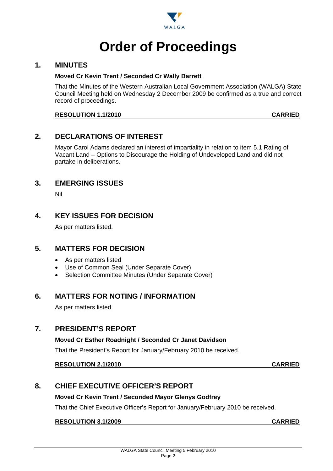

## **Order of Proceedings**

#### **1. MINUTES**

#### **Moved Cr Kevin Trent / Seconded Cr Wally Barrett**

That the Minutes of the Western Australian Local Government Association (WALGA) State Council Meeting held on Wednesday 2 December 2009 be confirmed as a true and correct record of proceedings.

#### **RESOLUTION 1.1/2010 CARRIED**

#### **2. DECLARATIONS OF INTEREST**

Mayor Carol Adams declared an interest of impartiality in relation to item 5.1 Rating of Vacant Land – Options to Discourage the Holding of Undeveloped Land and did not partake in deliberations.

#### **3. EMERGING ISSUES**

Nil

#### **4. KEY ISSUES FOR DECISION**

As per matters listed.

#### **5. MATTERS FOR DECISION**

- As per matters listed
- Use of Common Seal (Under Separate Cover)
- Selection Committee Minutes (Under Separate Cover)

#### **6. MATTERS FOR NOTING / INFORMATION**

As per matters listed.

#### **7. PRESIDENT'S REPORT**

#### **Moved Cr Esther Roadnight / Seconded Cr Janet Davidson**

That the President's Report for January/February 2010 be received.

#### **RESOLUTION 2.1/2010 CARRIED**

#### **8. CHIEF EXECUTIVE OFFICER'S REPORT**

#### **Moved Cr Kevin Trent / Seconded Mayor Glenys Godfrey**

That the Chief Executive Officer's Report for January/February 2010 be received.

#### **RESOLUTION 3.1/2009 CARRIED**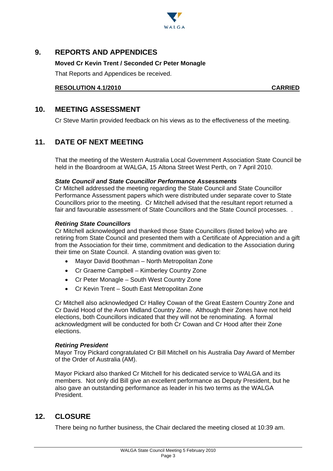

#### **9. REPORTS AND APPENDICES**

#### **Moved Cr Kevin Trent / Seconded Cr Peter Monagle**

That Reports and Appendices be received.

**RESOLUTION 4.1/2010 CARRIED**

#### **10. MEETING ASSESSMENT**

Cr Steve Martin provided feedback on his views as to the effectiveness of the meeting.

#### **11. DATE OF NEXT MEETING**

That the meeting of the Western Australia Local Government Association State Council be held in the Boardroom at WALGA, 15 Altona Street West Perth, on 7 April 2010.

#### *State Council and State Councillor Performance Assessments*

Cr Mitchell addressed the meeting regarding the State Council and State Councillor Performance Assessment papers which were distributed under separate cover to State Councillors prior to the meeting. Cr Mitchell advised that the resultant report returned a fair and favourable assessment of State Councillors and the State Council processes. .

#### *Retiring State Councillors*

Cr Mitchell acknowledged and thanked those State Councillors (listed below) who are retiring from State Council and presented them with a Certificate of Appreciation and a gift from the Association for their time, commitment and dedication to the Association during their time on State Council. A standing ovation was given to:

- Mayor David Boothman North Metropolitan Zone
- Cr Graeme Campbell Kimberley Country Zone
- Cr Peter Monagle South West Country Zone
- Cr Kevin Trent South East Metropolitan Zone

Cr Mitchell also acknowledged Cr Halley Cowan of the Great Eastern Country Zone and Cr David Hood of the Avon Midland Country Zone. Although their Zones have not held elections, both Councillors indicated that they will not be renominating. A formal acknowledgment will be conducted for both Cr Cowan and Cr Hood after their Zone elections.

#### *Retiring President*

Mayor Troy Pickard congratulated Cr Bill Mitchell on his Australia Day Award of Member of the Order of Australia (AM).

Mayor Pickard also thanked Cr Mitchell for his dedicated service to WALGA and its members. Not only did Bill give an excellent performance as Deputy President, but he also gave an outstanding performance as leader in his two terms as the WALGA President.

#### **12. CLOSURE**

There being no further business, the Chair declared the meeting closed at 10:39 am.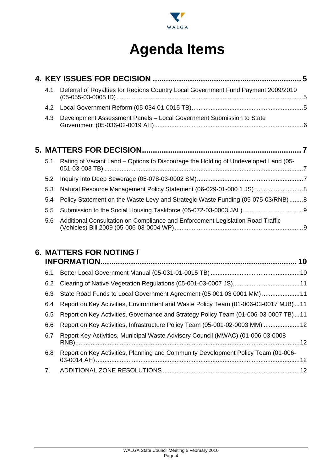

## **Agenda Items**

|  | 4.1 | Deferral of Royalties for Regions Country Local Government Fund Payment 2009/2010  |  |
|--|-----|------------------------------------------------------------------------------------|--|
|  | 4.2 |                                                                                    |  |
|  | 4.3 | Development Assessment Panels - Local Government Submission to State               |  |
|  |     |                                                                                    |  |
|  |     |                                                                                    |  |
|  | 5.1 | Rating of Vacant Land – Options to Discourage the Holding of Undeveloped Land (05- |  |
|  | 5.2 |                                                                                    |  |
|  | 5.3 |                                                                                    |  |
|  | 5.4 | Policy Statement on the Waste Levy and Strategic Waste Funding (05-075-03/RNB)8    |  |

5.6 Additional Consultation on Compliance and Enforcement Legislation Road Traffic (Vehicles) Bill 2009 (05-006-03-0004 WP) ........................................................................... 9

### **6. MATTERS FOR NOTING /**

| 6.1 |                                                                                     |  |
|-----|-------------------------------------------------------------------------------------|--|
| 6.2 |                                                                                     |  |
| 6.3 | State Road Funds to Local Government Agreement (05 001 03 0001 MM) 11               |  |
| 6.4 | Report on Key Activities, Environment and Waste Policy Team (01-006-03-0017 MJB)11  |  |
| 6.5 | Report on Key Activities, Governance and Strategy Policy Team (01-006-03-0007 TB)11 |  |
| 6.6 | Report on Key Activities, Infrastructure Policy Team (05-001-02-0003 MM) 12         |  |
| 6.7 | Report Key Activities, Municipal Waste Advisory Council (MWAC) (01-006-03-0008      |  |
| 6.8 | Report on Key Activities, Planning and Community Development Policy Team (01-006-   |  |
| 7.  |                                                                                     |  |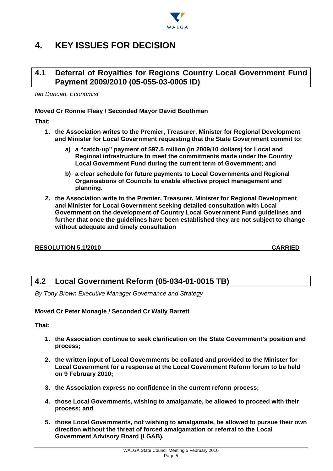

### **4. KEY ISSUES FOR DECISION**

#### **4.1 Deferral of Royalties for Regions Country Local Government Fund Payment 2009/2010 (05-055-03-0005 ID)**

*Ian Duncan, Economist* 

#### **Moved Cr Ronnie Fleay / Seconded Mayor David Boothman**

**That:** 

- **1. the Association writes to the Premier, Treasurer, Minister for Regional Development and Minister for Local Government requesting that the State Government commit to:** 
	- **a) a "catch-up" payment of \$97.5 million (in 2009/10 dollars) for Local and Regional infrastructure to meet the commitments made under the Country Local Government Fund during the current term of Government; and**
	- **b) a clear schedule for future payments to Local Governments and Regional Organisations of Councils to enable effective project management and planning.**
- **2. the Association write to the Premier, Treasurer, Minister for Regional Development and Minister for Local Government seeking detailed consultation with Local Government on the development of Country Local Government Fund guidelines and further that once the guidelines have been established they are not subject to change without adequate and timely consultation**

#### **RESOLUTION 5.1/2010 CARRIED**

#### **4.2 Local Government Reform (05-034-01-0015 TB)**

*By Tony Brown Executive Manager Governance and Strategy* 

#### **Moved Cr Peter Monagle / Seconded Cr Wally Barrett**

**That:** 

- **1. the Association continue to seek clarification on the State Government's position and process;**
- **2. the written input of Local Governments be collated and provided to the Minister for Local Government for a response at the Local Government Reform forum to be held on 9 February 2010;**
- **3. the Association express no confidence in the current reform process;**
- **4. those Local Governments, wishing to amalgamate, be allowed to proceed with their process; and**
- **5. those Local Governments, not wishing to amalgamate, be allowed to pursue their own direction without the threat of forced amalgamation or referral to the Local Government Advisory Board (LGAB).**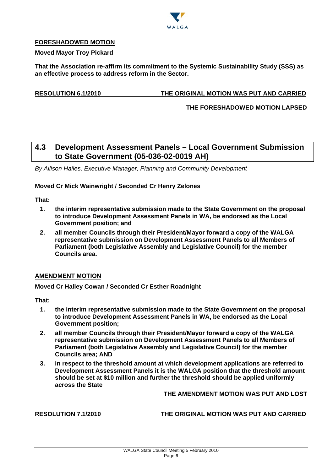

#### **FORESHADOWED MOTION**

#### **Moved Mayor Troy Pickard**

**That the Association re-affirm its commitment to the Systemic Sustainability Study (SSS) as an effective process to address reform in the Sector.** 

#### **RESOLUTION 6.1/2010 THE ORIGINAL MOTION WAS PUT AND CARRIED**

#### **THE FORESHADOWED MOTION LAPSED**

#### **4.3 Development Assessment Panels – Local Government Submission to State Government (05-036-02-0019 AH)**

*By Allison Hailes, Executive Manager, Planning and Community Development* 

#### **Moved Cr Mick Wainwright / Seconded Cr Henry Zelones**

**That:** 

- **1. the interim representative submission made to the State Government on the proposal to introduce Development Assessment Panels in WA, be endorsed as the Local Government position; and**
- **2. all member Councils through their President/Mayor forward a copy of the WALGA representative submission on Development Assessment Panels to all Members of Parliament (both Legislative Assembly and Legislative Council) for the member Councils area.**

#### **AMENDMENT MOTION**

**Moved Cr Halley Cowan / Seconded Cr Esther Roadnight** 

**That:** 

- **1. the interim representative submission made to the State Government on the proposal to introduce Development Assessment Panels in WA, be endorsed as the Local Government position;**
- **2. all member Councils through their President/Mayor forward a copy of the WALGA representative submission on Development Assessment Panels to all Members of Parliament (both Legislative Assembly and Legislative Council) for the member Councils area; AND**
- **3. in respect to the threshold amount at which development applications are referred to Development Assessment Panels it is the WALGA position that the threshold amount should be set at \$10 million and further the threshold should be applied uniformly across the State**

#### **THE AMENDMENT MOTION WAS PUT AND LOST**

#### **RESOLUTION 7.1/2010 THE ORIGINAL MOTION WAS PUT AND CARRIED**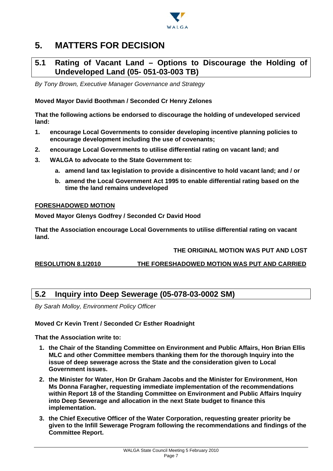

### **5. MATTERS FOR DECISION**

#### **5.1 Rating of Vacant Land – Options to Discourage the Holding of Undeveloped Land (05- 051-03-003 TB)**

*By Tony Brown, Executive Manager Governance and Strategy* 

**Moved Mayor David Boothman / Seconded Cr Henry Zelones** 

**That the following actions be endorsed to discourage the holding of undeveloped serviced land:** 

- **1. encourage Local Governments to consider developing incentive planning policies to encourage development including the use of covenants;**
- **2. encourage Local Governments to utilise differential rating on vacant land; and**
- **3. WALGA to advocate to the State Government to:** 
	- **a. amend land tax legislation to provide a disincentive to hold vacant land; and / or**
	- **b. amend the Local Government Act 1995 to enable differential rating based on the time the land remains undeveloped**

#### **FORESHADOWED MOTION**

**Moved Mayor Glenys Godfrey / Seconded Cr David Hood** 

**That the Association encourage Local Governments to utilise differential rating on vacant land.** 

#### **THE ORIGINAL MOTION WAS PUT AND LOST**

**RESOLUTION 8.1/2010 THE FORESHADOWED MOTION WAS PUT AND CARRIED**

#### **5.2 Inquiry into Deep Sewerage (05-078-03-0002 SM)**

*By Sarah Molloy, Environment Policy Officer* 

#### **Moved Cr Kevin Trent / Seconded Cr Esther Roadnight**

**That the Association write to:** 

- **1. the Chair of the Standing Committee on Environment and Public Affairs, Hon Brian Ellis MLC and other Committee members thanking them for the thorough Inquiry into the issue of deep sewerage across the State and the consideration given to Local Government issues.**
- **2. the Minister for Water, Hon Dr Graham Jacobs and the Minister for Environment, Hon Ms Donna Faragher, requesting immediate implementation of the recommendations within Report 18 of the Standing Committee on Environment and Public Affairs Inquiry into Deep Sewerage and allocation in the next State budget to finance this implementation.**
- **3. the Chief Executive Officer of the Water Corporation, requesting greater priority be given to the Infill Sewerage Program following the recommendations and findings of the Committee Report.**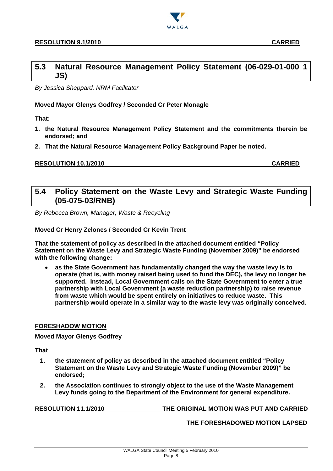

*By Jessica Sheppard, NRM Facilitator* 

#### **Moved Mayor Glenys Godfrey / Seconded Cr Peter Monagle**

**That:** 

- **1. the Natural Resource Management Policy Statement and the commitments therein be endorsed; and**
- **2. That the Natural Resource Management Policy Background Paper be noted.**

#### **RESOLUTION 10.1/2010 CARRIED**

#### **5.4 Policy Statement on the Waste Levy and Strategic Waste Funding (05-075-03/RNB)**

*By Rebecca Brown, Manager, Waste & Recycling* 

#### **Moved Cr Henry Zelones / Seconded Cr Kevin Trent**

**That the statement of policy as described in the attached document entitled "Policy Statement on the Waste Levy and Strategic Waste Funding (November 2009)" be endorsed with the following change:** 

 **as the State Government has fundamentally changed the way the waste levy is to operate (that is, with money raised being used to fund the DEC), the levy no longer be supported. Instead, Local Government calls on the State Government to enter a true partnership with Local Government (a waste reduction partnership) to raise revenue from waste which would be spent entirely on initiatives to reduce waste. This partnership would operate in a similar way to the waste levy was originally conceived.** 

#### **FORESHADOW MOTION**

**Moved Mayor Glenys Godfrey** 

**That** 

- **1. the statement of policy as described in the attached document entitled "Policy Statement on the Waste Levy and Strategic Waste Funding (November 2009)" be endorsed;**
- **2. the Association continues to strongly object to the use of the Waste Management Levy funds going to the Department of the Environment for general expenditure.**

**RESOLUTION 11.1/2010 THE ORIGINAL MOTION WAS PUT AND CARRIED**

**THE FORESHADOWED MOTION LAPSED**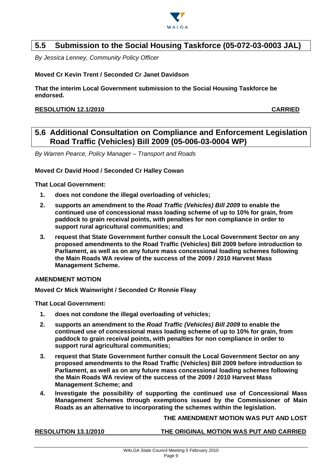

#### **5.5 Submission to the Social Housing Taskforce (05-072-03-0003 JAL)**

*By Jessica Lenney, Community Policy Officer* 

#### **Moved Cr Kevin Trent / Seconded Cr Janet Davidson**

**That the interim Local Government submission to the Social Housing Taskforce be endorsed.** 

#### **RESOLUTION 12.1/2010 CARRIED**

#### **5.6 Additional Consultation on Compliance and Enforcement Legislation Road Traffic (Vehicles) Bill 2009 (05-006-03-0004 WP)**

*By Warren Pearce, Policy Manager – Transport and Roads* 

#### **Moved Cr David Hood / Seconded Cr Halley Cowan**

**That Local Government:** 

- **1. does not condone the illegal overloading of vehicles;**
- **2. supports an amendment to the** *Road Traffic (Vehicles) Bill 2009* **to enable the continued use of concessional mass loading scheme of up to 10% for grain, from paddock to grain receival points, with penalties for non compliance in order to support rural agricultural communities; and**
- **3. request that State Government further consult the Local Government Sector on any proposed amendments to the Road Traffic (Vehicles) Bill 2009 before introduction to Parliament, as well as on any future mass concessional loading schemes following the Main Roads WA review of the success of the 2009 / 2010 Harvest Mass Management Scheme.**

#### **AMENDMENT MOTION**

**Moved Cr Mick Wainwright / Seconded Cr Ronnie Fleay** 

**That Local Government:** 

- **1. does not condone the illegal overloading of vehicles;**
- **2. supports an amendment to the** *Road Traffic (Vehicles) Bill 2009* **to enable the continued use of concessional mass loading scheme of up to 10% for grain, from paddock to grain receival points, with penalties for non compliance in order to support rural agricultural communities;**
- **3. request that State Government further consult the Local Government Sector on any proposed amendments to the Road Traffic (Vehicles) Bill 2009 before introduction to Parliament, as well as on any future mass concessional loading schemes following the Main Roads WA review of the success of the 2009 / 2010 Harvest Mass Management Scheme; and**
- **4. Investigate the possibility of supporting the continued use of Concessional Mass Management Schemes through exemptions issued by the Commissioner of Main Roads as an alternative to incorporating the schemes within the legislation.**

**THE AMENDMENT MOTION WAS PUT AND LOST** 

**RESOLUTION 13.1/2010 THE ORIGINAL MOTION WAS PUT AND CARRIED**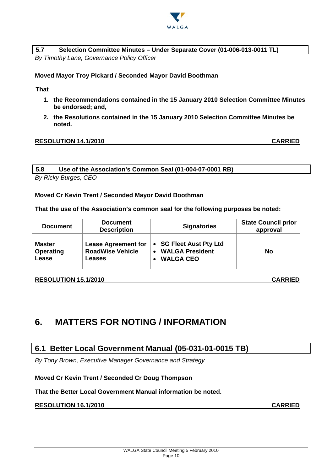

#### **5.7 Selection Committee Minutes – Under Separate Cover (01-006-013-0011 TL)**

*By Timothy Lane, Governance Policy Officer* 

#### **Moved Mayor Troy Pickard / Seconded Mayor David Boothman**

**That** 

- **1. the Recommendations contained in the 15 January 2010 Selection Committee Minutes be endorsed; and,**
- **2. the Resolutions contained in the 15 January 2010 Selection Committee Minutes be noted.**

#### **RESOLUTION 14.1/2010 CARRIED**

**5.8 Use of the Association's Common Seal (01-004-07-0001 RB)** 

*By Ricky Burges, CEO* 

**Moved Cr Kevin Trent / Seconded Mayor David Boothman** 

**That the use of the Association's common seal for the following purposes be noted:** 

| <b>Document</b> | <b>Document</b><br><b>Description</b> | <b>Signatories</b>      | State Council prior<br>approval |
|-----------------|---------------------------------------|-------------------------|---------------------------------|
| <b>Master</b>   | <b>Lease Agreement for</b>            | • SG Fleet Aust Pty Ltd | No                              |
| Operating       | <b>RoadWise Vehicle</b>               | <b>WALGA President</b>  |                                 |
| Lease           | Leases                                | <b>WALGA CEO</b>        |                                 |

#### **RESOLUTION 15.1/2010 CARRIED**

### **6. MATTERS FOR NOTING / INFORMATION**

#### **6.1 Better Local Government Manual (05-031-01-0015 TB)**

*By Tony Brown, Executive Manager Governance and Strategy* 

#### **Moved Cr Kevin Trent / Seconded Cr Doug Thompson**

#### **That the Better Local Government Manual information be noted.**

#### **RESOLUTION 16.1/2010 CARRIED**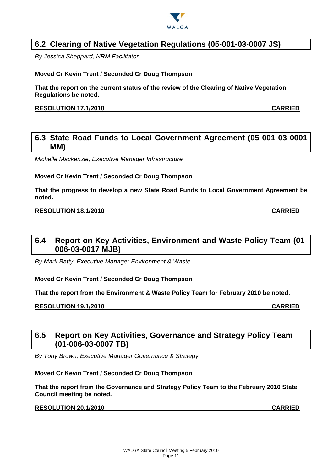

#### **6.2 Clearing of Native Vegetation Regulations (05-001-03-0007 JS)**

*By Jessica Sheppard, NRM Facilitator* 

#### **Moved Cr Kevin Trent / Seconded Cr Doug Thompson**

**That the report on the current status of the review of the Clearing of Native Vegetation Regulations be noted.** 

#### **RESOLUTION 17.1/2010 CARRIED**

#### **6.3 State Road Funds to Local Government Agreement (05 001 03 0001 MM)**

*Michelle Mackenzie, Executive Manager Infrastructure* 

#### **Moved Cr Kevin Trent / Seconded Cr Doug Thompson**

**That the progress to develop a new State Road Funds to Local Government Agreement be noted.** 

#### **RESOLUTION 18.1/2010 CARRIED**

#### **6.4 Report on Key Activities, Environment and Waste Policy Team (01- 006-03-0017 MJB)**

*By Mark Batty, Executive Manager Environment & Waste* 

**Moved Cr Kevin Trent / Seconded Cr Doug Thompson** 

**That the report from the Environment & Waste Policy Team for February 2010 be noted.** 

**RESOLUTION 19.1/2010 CARRIED**

#### **6.5 Report on Key Activities, Governance and Strategy Policy Team (01-006-03-0007 TB)**

*By Tony Brown, Executive Manager Governance & Strategy* 

#### **Moved Cr Kevin Trent / Seconded Cr Doug Thompson**

**That the report from the Governance and Strategy Policy Team to the February 2010 State Council meeting be noted.** 

#### **RESOLUTION 20.1/2010 CARRIED**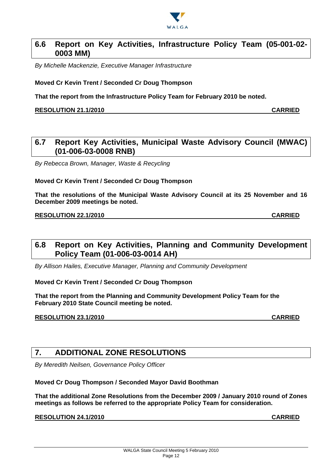

#### **6.6 Report on Key Activities, Infrastructure Policy Team (05-001-02- 0003 MM)**

*By Michelle Mackenzie, Executive Manager Infrastructure* 

**Moved Cr Kevin Trent / Seconded Cr Doug Thompson** 

**That the report from the Infrastructure Policy Team for February 2010 be noted.** 

#### **RESOLUTION 21.1/2010 CARRIED**

#### **6.7 Report Key Activities, Municipal Waste Advisory Council (MWAC) (01-006-03-0008 RNB)**

*By Rebecca Brown, Manager, Waste & Recycling* 

#### **Moved Cr Kevin Trent / Seconded Cr Doug Thompson**

**That the resolutions of the Municipal Waste Advisory Council at its 25 November and 16 December 2009 meetings be noted.** 

#### **RESOLUTION 22.1/2010 CARRIED**

#### **6.8 Report on Key Activities, Planning and Community Development Policy Team (01-006-03-0014 AH)**

*By Allison Hailes, Executive Manager, Planning and Community Development* 

**Moved Cr Kevin Trent / Seconded Cr Doug Thompson** 

**That the report from the Planning and Community Development Policy Team for the February 2010 State Council meeting be noted.** 

#### **RESOLUTION 23.1/2010 CARRIED**

#### **7. ADDITIONAL ZONE RESOLUTIONS**

*By Meredith Neilsen, Governance Policy Officer* 

#### **Moved Cr Doug Thompson / Seconded Mayor David Boothman**

**That the additional Zone Resolutions from the December 2009 / January 2010 round of Zones meetings as follows be referred to the appropriate Policy Team for consideration.** 

**RESOLUTION 24.1/2010 CARRIED**